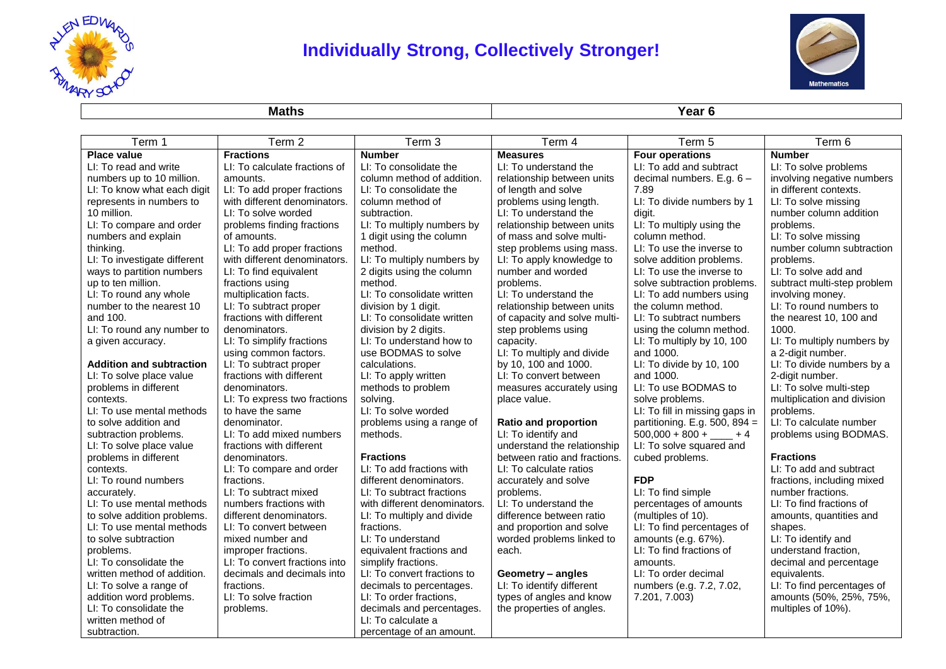

## **Individually Strong, Collectively Stronger!**



**Maths Year 6**

| Term 1                          | Term 2                        | Term 3                       | Term 4                       | Term 5                         | Term 6                      |
|---------------------------------|-------------------------------|------------------------------|------------------------------|--------------------------------|-----------------------------|
| <b>Place value</b>              | <b>Fractions</b>              | <b>Number</b>                | <b>Measures</b>              | <b>Four operations</b>         | <b>Number</b>               |
| LI: To read and write           | LI: To calculate fractions of | LI: To consolidate the       | LI: To understand the        | LI: To add and subtract        | LI: To solve problems       |
| numbers up to 10 million.       | amounts.                      | column method of addition.   | relationship between units   | decimal numbers. E.g. 6 -      | involving negative numbers  |
| LI: To know what each digit     | LI: To add proper fractions   | LI: To consolidate the       | of length and solve          | 7.89                           | in different contexts.      |
| represents in numbers to        | with different denominators.  | column method of             | problems using length.       | LI: To divide numbers by 1     | LI: To solve missing        |
| 10 million.                     | LI: To solve worded           | subtraction.                 | LI: To understand the        | digit.                         | number column addition      |
| LI: To compare and order        | problems finding fractions    | LI: To multiply numbers by   | relationship between units   | LI: To multiply using the      | problems.                   |
| numbers and explain             | of amounts.                   | 1 digit using the column     | of mass and solve multi-     | column method.                 | LI: To solve missing        |
| thinking.                       | LI: To add proper fractions   | method.                      | step problems using mass.    | LI: To use the inverse to      | number column subtraction   |
| LI: To investigate different    | with different denominators.  | LI: To multiply numbers by   | LI: To apply knowledge to    | solve addition problems.       | problems.                   |
| ways to partition numbers       | LI: To find equivalent        | 2 digits using the column    | number and worded            | LI: To use the inverse to      | LI: To solve add and        |
| up to ten million.              | fractions using               | method.                      | problems.                    | solve subtraction problems.    | subtract multi-step problem |
| LI: To round any whole          | multiplication facts.         | LI: To consolidate written   | LI: To understand the        | LI: To add numbers using       | involving money.            |
| number to the nearest 10        | LI: To subtract proper        | division by 1 digit.         | relationship between units   | the column method.             | LI: To round numbers to     |
| and 100.                        | fractions with different      | LI: To consolidate written   | of capacity and solve multi- | LI: To subtract numbers        | the nearest 10, 100 and     |
| LI: To round any number to      | denominators.                 | division by 2 digits.        | step problems using          | using the column method.       | 1000.                       |
| a given accuracy.               | LI: To simplify fractions     | LI: To understand how to     | capacity.                    | LI: To multiply by 10, 100     | LI: To multiply numbers by  |
|                                 | using common factors.         | use BODMAS to solve          | LI: To multiply and divide   | and 1000.                      | a 2-digit number.           |
| <b>Addition and subtraction</b> | LI: To subtract proper        | calculations.                | by 10, 100 and 1000.         | LI: To divide by 10, 100       | LI: To divide numbers by a  |
| LI: To solve place value        | fractions with different      | LI: To apply written         | LI: To convert between       | and 1000.                      | 2-digit number.             |
| problems in different           | denominators.                 | methods to problem           | measures accurately using    | LI: To use BODMAS to           | LI: To solve multi-step     |
| contexts.                       | LI: To express two fractions  | solving.                     | place value.                 | solve problems.                | multiplication and division |
| LI: To use mental methods       | to have the same              | LI: To solve worded          |                              | LI: To fill in missing gaps in | problems.                   |
| to solve addition and           | denominator.                  | problems using a range of    | <b>Ratio and proportion</b>  | partitioning. E.g. 500, 894 =  | LI: To calculate number     |
| subtraction problems.           | LI: To add mixed numbers      | methods.                     | LI: To identify and          | $500,000 + 800 + \_ + 4$       | problems using BODMAS.      |
| LI: To solve place value        | fractions with different      |                              | understand the relationship  | LI: To solve squared and       |                             |
| problems in different           | denominators.                 | <b>Fractions</b>             | between ratio and fractions. | cubed problems.                | <b>Fractions</b>            |
| contexts.                       | LI: To compare and order      | LI: To add fractions with    | LI: To calculate ratios      |                                | LI: To add and subtract     |
| LI: To round numbers            | fractions.                    | different denominators.      | accurately and solve         | <b>FDP</b>                     | fractions, including mixed  |
| accurately.                     | LI: To subtract mixed         | LI: To subtract fractions    | problems.                    | LI: To find simple             | number fractions.           |
| LI: To use mental methods       | numbers fractions with        | with different denominators. | LI: To understand the        | percentages of amounts         | LI: To find fractions of    |
| to solve addition problems.     | different denominators.       | LI: To multiply and divide   | difference between ratio     | (multiples of 10).             | amounts, quantities and     |
| LI: To use mental methods       | LI: To convert between        | fractions.                   | and proportion and solve     | LI: To find percentages of     | shapes.                     |
| to solve subtraction            | mixed number and              | LI: To understand            | worded problems linked to    | amounts (e.g. 67%).            | LI: To identify and         |
| problems.                       | improper fractions.           | equivalent fractions and     | each.                        | LI: To find fractions of       | understand fraction,        |
| LI: To consolidate the          | LI: To convert fractions into | simplify fractions.          |                              | amounts.                       | decimal and percentage      |
| written method of addition.     | decimals and decimals into    | LI: To convert fractions to  | Geometry - angles            | LI: To order decimal           | equivalents.                |
| LI: To solve a range of         | fractions.                    | decimals to percentages.     | LI: To identify different    | numbers (e.g. 7.2, 7.02,       | LI: To find percentages of  |
| addition word problems.         | LI: To solve fraction         | LI: To order fractions,      | types of angles and know     | 7.201, 7.003)                  | amounts (50%, 25%, 75%,     |
| LI: To consolidate the          | problems.                     | decimals and percentages.    | the properties of angles.    |                                | multiples of 10%).          |
| written method of               |                               | LI: To calculate a           |                              |                                |                             |
| subtraction.                    |                               | percentage of an amount.     |                              |                                |                             |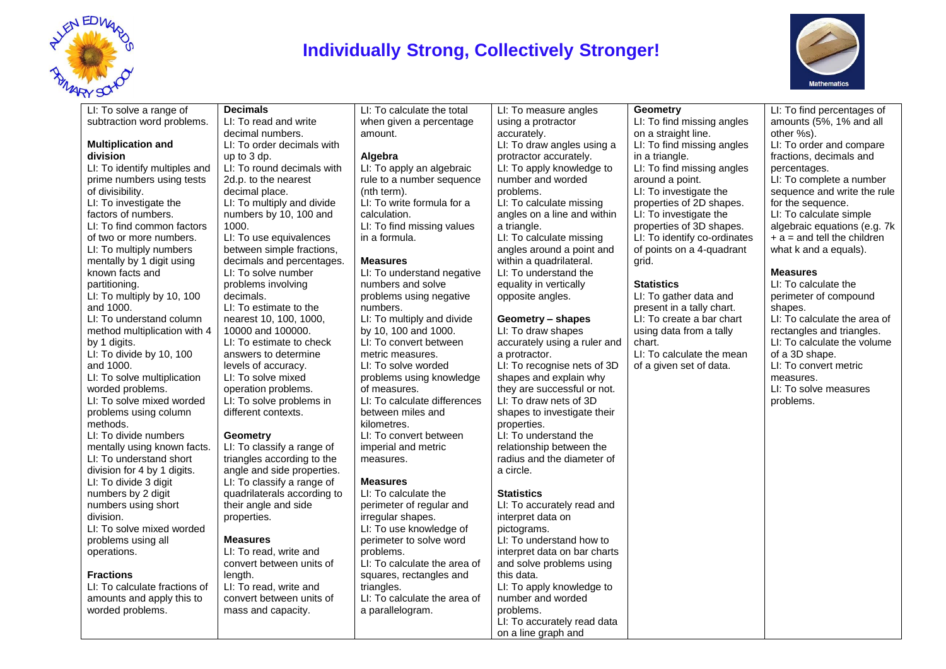

### **Individually Strong, Collectively Stronger!**



### LI: To solve a range of subtraction word problems. **Multiplication and division** LI: To identify multiples and prime numbers using tests of divisibility. LI: To investigate the factors of numbers. LI: To find common factors of two or more numbers. LI: To multiply numbers mentally by 1 digit using known facts and partitioning. LI: To multiply by 10, 100 and 1000. LI: To understand column method multiplication with 4 by 1 digits. LI: To divide by 10, 100 and 1000. LI: To solve multiplication worded problems. LI: To solve mixed worded problems using column methods. LI: To divide numbers mentally using known facts. LI: To understand short division for 4 by 1 digits. LI: To divide 3 digit numbers by 2 digit numbers using short division. LI: To solve mixed worded problems using all operations. **Fractions** LI: To calculate fractions of amounts and apply this to worded problems. **Decimals** LI: To read and write decimal numbers. LI: To order decimals with up to 3 dp. LI: To round decimals with 2d.p. to the nearest decimal place. LI: To multiply and divide numbers by 10, 100 and 1000. LI: To use equivalences between simple fractions, decimals and percentages. LI: To solve number problems involving decimals. LI: To estimate to the nearest 10, 100, 1000, 10000 and 100000. LI: To estimate to check answers to determine levels of accuracy. LI: To solve mixed operation problems. LI: To solve problems in different contexts. **Geometry** LI: To classify a range of triangles according to the angle and side properties. LI: To classify a range of quadrilaterals according to their angle and side properties. **Measures** LI: To read, write and convert between units of length. LI: To read, write and convert between units of mass and capacity. LI: To calculate the total when given a percentage amount. **Algebra** LI: To apply an algebraic rule to a number sequence (nth term). LI: To write formula for a calculation. LI: To find missing values in a formula. **Measures** LI: To understand negative numbers and solve problems using negative numbers. LI: To multiply and divide by 10, 100 and 1000. LI: To convert between metric measures. LI: To solve worded problems using knowledge of measures. LI: To calculate differences between miles and kilometres. LI: To convert between imperial and metric measures. **Measures** LI: To calculate the perimeter of regular and irregular shapes. LI: To use knowledge of perimeter to solve word problems. LI: To calculate the area of squares, rectangles and triangles. LI: To calculate the area of a parallelogram. LI: To measure angles using a protractor accurately. LI: To draw angles using a protractor accurately. LI: To apply knowledge to number and worded problems. LI: To calculate missing angles on a line and within a triangle. LI: To calculate missing angles around a point and within a quadrilateral. LI: To understand the equality in vertically opposite angles. **Geometry – shapes** LI: To draw shapes accurately using a ruler and a protractor. LI: To recognise nets of 3D shapes and explain why they are successful or not. LI: To draw nets of 3D shapes to investigate their properties. LI: To understand the relationship between the radius and the diameter of a circle. **Statistics** LI: To accurately read and interpret data on pictograms. LI: To understand how to interpret data on bar charts and solve problems using this data. LI: To apply knowledge to number and worded problems. LI: To accurately read data on a line graph and **Geometry** LI: To find missing angles on a straight line. LI: To find missing angles in a triangle. LI: To find missing angles around a point. LI: To investigate the properties of 2D shapes. LI: To investigate the properties of 3D shapes. LI: To identify co-ordinates of points on a 4-quadrant grid. **Statistics** LI: To gather data and present in a tally chart. LI: To create a bar chart using data from a tally chart. LI: To calculate the mean of a given set of data. LI: To find percentages of amounts (5%, 1% and all other %s). LI: To order and compare fractions, decimals and percentages. LI: To complete a number sequence and write the rule for the sequence. LI: To calculate simple algebraic equations (e.g. 7k  $+ a =$  and tell the children what k and a equals). **Measures** LI: To calculate the perimeter of compound shapes. LI: To calculate the area of rectangles and triangles. LI: To calculate the volume of a 3D shape. LI: To convert metric measures. LI: To solve measures problems.